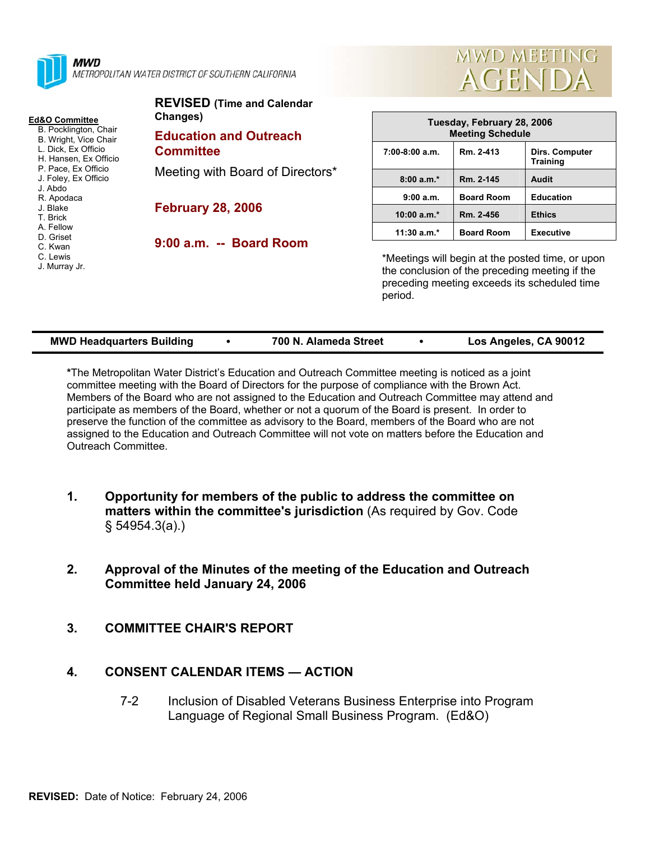

#### **Ed&O Committee**

- B. Pocklington, Chair B. Wright, Vice Chair
- L. Dick, Ex Officio
- H. Hansen, Ex Officio
- P. Pace, Ex Officio
- J. Foley, Ex Officio
- J. Abdo R. Apodaca
- J. Blake
- T. Brick
- A. Fellow
- D. Griset
- C. Kwan
- C. Lewis
- J. Murray Jr.

| <b>REVISED (Time and Calendar</b><br>Changes)     |  |
|---------------------------------------------------|--|
| <b>Education and Outreach</b><br><b>Committee</b> |  |
| Meeting with Board of Directors*                  |  |
| <b>February 28, 2006</b>                          |  |

**9:00 a.m. -- Board Room** 



| Tuesday, February 28, 2006<br><b>Meeting Schedule</b> |                   |                                   |  |  |  |
|-------------------------------------------------------|-------------------|-----------------------------------|--|--|--|
| $7:00-8:00$ a.m.                                      | Rm. 2-413         | Dirs. Computer<br><b>Training</b> |  |  |  |
| $8:00a.m.*$                                           | Rm. 2-145         | Audit                             |  |  |  |
| 9:00a.m.                                              | <b>Board Room</b> | <b>Education</b>                  |  |  |  |
| $10:00 a.m.*$                                         | Rm. 2-456         | <b>Ethics</b>                     |  |  |  |
| $11:30$ a.m.*                                         | <b>Board Room</b> | <b>Executive</b>                  |  |  |  |

\*Meetings will begin at the posted time, or upon the conclusion of the preceding meeting if the preceding meeting exceeds its scheduled time period.

| <b>MWD Headquarters Building</b> | 700 N. Alameda Street | Los Angeles, CA 90012 |
|----------------------------------|-----------------------|-----------------------|

**\***The Metropolitan Water District's Education and Outreach Committee meeting is noticed as a joint committee meeting with the Board of Directors for the purpose of compliance with the Brown Act. Members of the Board who are not assigned to the Education and Outreach Committee may attend and participate as members of the Board, whether or not a quorum of the Board is present. In order to preserve the function of the committee as advisory to the Board, members of the Board who are not assigned to the Education and Outreach Committee will not vote on matters before the Education and Outreach Committee.

- **1. Opportunity for members of the public to address the committee on matters within the committee's jurisdiction** (As required by Gov. Code § 54954.3(a).)
- **2. Approval of the Minutes of the meeting of the Education and Outreach Committee held January 24, 2006**
- **3. COMMITTEE CHAIR'S REPORT**

## **4. CONSENT CALENDAR ITEMS — ACTION**

7-2 Inclusion of Disabled Veterans Business Enterprise into Program Language of Regional Small Business Program. (Ed&O)